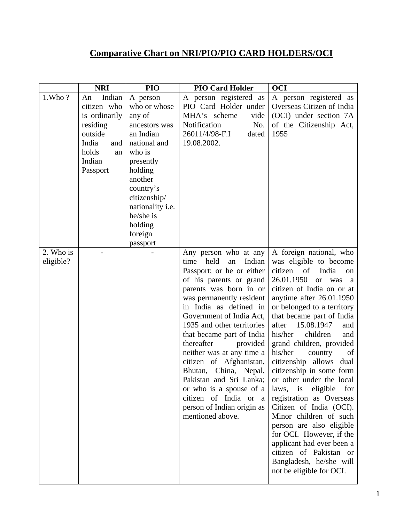## **Comparative Chart on NRI/PIO/PIO CARD HOLDERS/OCI**

|                        | <b>NRI</b>                                                                                                               | PIO                                                                                                                                                                                                                           | <b>PIO Card Holder</b>                                                                                                                                                                                                                                                                                                                                                                                                                                                                                                           | <b>OCI</b>                                                                                                                                                                                                                                                                                                                                                                                                                                                                                                                                                                                                                                                                                                                                     |
|------------------------|--------------------------------------------------------------------------------------------------------------------------|-------------------------------------------------------------------------------------------------------------------------------------------------------------------------------------------------------------------------------|----------------------------------------------------------------------------------------------------------------------------------------------------------------------------------------------------------------------------------------------------------------------------------------------------------------------------------------------------------------------------------------------------------------------------------------------------------------------------------------------------------------------------------|------------------------------------------------------------------------------------------------------------------------------------------------------------------------------------------------------------------------------------------------------------------------------------------------------------------------------------------------------------------------------------------------------------------------------------------------------------------------------------------------------------------------------------------------------------------------------------------------------------------------------------------------------------------------------------------------------------------------------------------------|
| 1.Who?                 | Indian<br>An<br>citizen who<br>is ordinarily<br>residing<br>outside<br>India<br>and<br>holds<br>an<br>Indian<br>Passport | A person<br>who or whose<br>any of<br>ancestors was<br>an Indian<br>national and<br>who is<br>presently<br>holding<br>another<br>country's<br>citizenship/<br>nationality i.e.<br>he/she is<br>holding<br>foreign<br>passport | A person registered as<br>PIO Card Holder under<br>MHA's scheme<br>vide<br>Notification<br>No.<br>26011/4/98-F.I<br>dated<br>19.08.2002.                                                                                                                                                                                                                                                                                                                                                                                         | A person registered as<br>Overseas Citizen of India<br>(OCI) under section 7A<br>of the Citizenship Act,<br>1955                                                                                                                                                                                                                                                                                                                                                                                                                                                                                                                                                                                                                               |
| 2. Who is<br>eligible? |                                                                                                                          |                                                                                                                                                                                                                               | Any person who at any<br>held<br>Indian<br>time<br>an<br>Passport; or he or either<br>of his parents or grand<br>parents was born in or<br>was permanently resident<br>in India as defined in<br>Government of India Act,<br>1935 and other territories<br>that became part of India<br>thereafter<br>provided<br>neither was at any time a<br>citizen of Afghanistan,<br>Bhutan, China, Nepal,<br>Pakistan and Sri Lanka;<br>or who is a spouse of a<br>citizen of India or a<br>person of Indian origin as<br>mentioned above. | A foreign national, who<br>was eligible to become<br>citizen of<br>India<br>on<br>26.01.1950<br><b>or</b><br>was<br>a a<br>citizen of India on or at<br>anytime after 26.01.1950<br>or belonged to a territory<br>that became part of India<br>15.08.1947<br>after<br>and<br>his/her<br>children<br>and<br>grand children, provided<br>his/her<br>country<br>of<br>citizenship allows<br>dual<br>citizenship in some form<br>or other under the local<br>eligible<br>laws,<br>is<br>for<br>registration as Overseas<br>Citizen of India (OCI).<br>Minor children of such<br>person are also eligible<br>for OCI. However, if the<br>applicant had ever been a<br>citizen of Pakistan or<br>Bangladesh, he/she will<br>not be eligible for OCI. |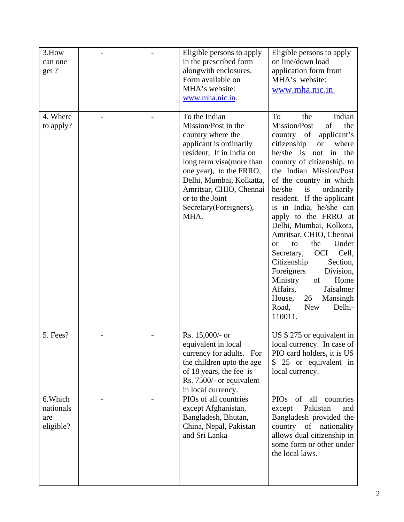| 3.How<br>can one<br>get ?                 |  | Eligible persons to apply<br>in the prescribed form<br>alongwith enclosures.<br>Form available on<br>MHA's website:<br>www.mha.nic.in.                                                                                                                                               | Eligible persons to apply<br>on line/down load<br>application form from<br>MHA's website:<br>www.mha.nic.in.                                                                                                                                                                                                                                                                                                                                                                                                                                                                                                                                                       |
|-------------------------------------------|--|--------------------------------------------------------------------------------------------------------------------------------------------------------------------------------------------------------------------------------------------------------------------------------------|--------------------------------------------------------------------------------------------------------------------------------------------------------------------------------------------------------------------------------------------------------------------------------------------------------------------------------------------------------------------------------------------------------------------------------------------------------------------------------------------------------------------------------------------------------------------------------------------------------------------------------------------------------------------|
| 4. Where<br>to apply?                     |  | To the Indian<br>Mission/Post in the<br>country where the<br>applicant is ordinarily<br>resident; If in India on<br>long term visa (more than<br>one year), to the FRRO,<br>Delhi, Mumbai, Kolkatta,<br>Amritsar, CHIO, Chennai<br>or to the Joint<br>Secretary(Foreigners),<br>MHA. | To<br>Indian<br>the<br>of<br>the<br>Mission/Post<br>country of<br>applicant's<br>citizenship<br>where<br><b>or</b><br>he/she is<br>in the<br>not<br>country of citizenship, to<br>the Indian Mission/Post<br>of the country in which<br>ordinarily<br>he/she<br>is<br>resident. If the applicant<br>is in India, he/she can<br>apply to the FRRO at<br>Delhi, Mumbai, Kolkota,<br>Amritsar, CHIO, Chennai<br>the<br>Under<br>to<br><b>or</b><br>Cell,<br><b>OCI</b><br>Secretary,<br>Citizenship<br>Section,<br>Foreigners<br>Division,<br>Ministry<br>Home<br>of<br>Affairs,<br>Jaisalmer<br>House,<br>Mansingh<br>26<br>Delhi-<br>Road,<br><b>New</b><br>110011. |
| 5. Fees?                                  |  | Rs. 15,000/- or<br>equivalent in local<br>currency for adults. For<br>the children upto the age<br>of 18 years, the fee is<br>Rs. 7500/- or equivalent<br>in local currency.                                                                                                         | US $$275$ or equivalent in<br>local currency. In case of<br>PIO card holders, it is US<br>\$ 25 or equivalent in<br>local currency.                                                                                                                                                                                                                                                                                                                                                                                                                                                                                                                                |
| 6. Which<br>nationals<br>are<br>eligible? |  | PIOs of all countries<br>except Afghanistan,<br>Bangladesh, Bhutan,<br>China, Nepal, Pakistan<br>and Sri Lanka                                                                                                                                                                       | <b>PIOs</b><br>of<br>countries<br>all<br>Pakistan<br>except<br>and<br>Bangladesh provided the<br>country of nationality<br>allows dual citizenship in<br>some form or other under<br>the local laws.                                                                                                                                                                                                                                                                                                                                                                                                                                                               |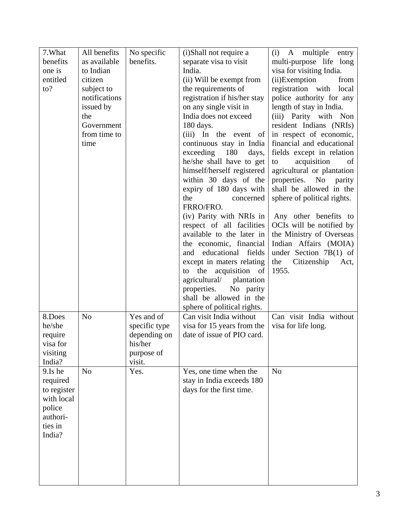| 7. What     | All benefits   | No specific   | (i)Shall not require a       | $(i)$ A<br>multiple<br>entry |
|-------------|----------------|---------------|------------------------------|------------------------------|
| benefits    | as available   | benefits.     | separate visa to visit       | multi-purpose life long      |
| one is      | to Indian      |               | India.                       | visa for visiting India.     |
| entitled    | citizen        |               | (ii) Will be exempt from     | (ii)Exemption<br>from        |
| to?         | subject to     |               | the requirements of          | registration with<br>local   |
|             | notifications  |               | registration if his/her stay | police authority for any     |
|             | issued by      |               | on any single visit in       | length of stay in India.     |
|             | the            |               | India does not exceed        | (iii) Parity with Non        |
|             | Government     |               | 180 days.                    | resident Indians (NRIs)      |
|             | from time to   |               | (iii) In the event of        | in respect of economic,      |
|             | time           |               | continuous stay in India     | financial and educational    |
|             |                |               | exceeding<br>180<br>days,    | fields except in relation    |
|             |                |               | he/she shall have to get     | acquisition<br>of<br>to      |
|             |                |               | himself/herself registered   | agricultural or plantation   |
|             |                |               | within 30 days of the        | properties.<br>No<br>parity  |
|             |                |               | expiry of 180 days with      | shall be allowed in the      |
|             |                |               | the<br>concerned             | sphere of political rights.  |
|             |                |               | FRRO/FRO.                    |                              |
|             |                |               | (iv) Parity with NRIs in     | Any other benefits to        |
|             |                |               | respect of all facilities    | OCIs will be notified by     |
|             |                |               | available to the later in    | the Ministry of Overseas     |
|             |                |               | the economic, financial      | Indian Affairs (MOIA)        |
|             |                |               | educational fields           | under Section $7B(1)$ of     |
|             |                |               | and                          |                              |
|             |                |               | except in maters relating    | the<br>Citizenship<br>Act,   |
|             |                |               | acquisition of<br>to the     | 1955.                        |
|             |                |               | agricultural/ plantation     |                              |
|             |                |               | properties.<br>No parity     |                              |
|             |                |               | shall be allowed in the      |                              |
|             |                |               | sphere of political rights.  |                              |
| 8.Does      | N <sub>o</sub> | Yes and of    | Can visit India without      | Can visit India without      |
| he/she      |                | specific type | visa for 15 years from the   | visa for life long.          |
| require     |                | depending on  | date of issue of PIO card.   |                              |
| visa for    |                | his/her       |                              |                              |
| visiting    |                | purpose of    |                              |                              |
| India?      |                | visit.        |                              |                              |
| 9.Is he     | N <sub>o</sub> | Yes.          | Yes, one time when the       | N <sub>o</sub>               |
| required    |                |               | stay in India exceeds 180    |                              |
| to register |                |               | days for the first time.     |                              |
| with local  |                |               |                              |                              |
| police      |                |               |                              |                              |
| authori-    |                |               |                              |                              |
| ties in     |                |               |                              |                              |
| India?      |                |               |                              |                              |
|             |                |               |                              |                              |
|             |                |               |                              |                              |
|             |                |               |                              |                              |
|             |                |               |                              |                              |
|             |                |               |                              |                              |